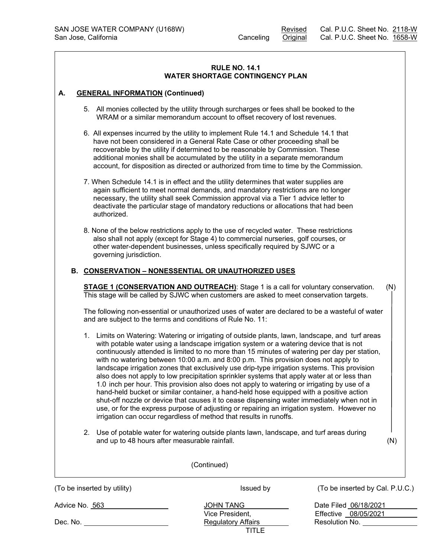#### **RULE NO. 14.1 WATER SHORTAGE CONTINGENCY PLAN**

## **A. GENERAL INFORMATION (Continued)**

- 5. All monies collected by the utility through surcharges or fees shall be booked to the WRAM or a similar memorandum account to offset recovery of lost revenues.
- 6. All expenses incurred by the utility to implement Rule 14.1 and Schedule 14.1 that have not been considered in a General Rate Case or other proceeding shall be recoverable by the utility if determined to be reasonable by Commission. These additional monies shall be accumulated by the utility in a separate memorandum account, for disposition as directed or authorized from time to time by the Commission.
- 7. When Schedule 14.1 is in effect and the utility determines that water supplies are again sufficient to meet normal demands, and mandatory restrictions are no longer necessary, the utility shall seek Commission approval via a Tier 1 advice letter to deactivate the particular stage of mandatory reductions or allocations that had been authorized.
- 8. None of the below restrictions apply to the use of recycled water. These restrictions also shall not apply (except for Stage 4) to commercial nurseries, golf courses, or other water-dependent businesses, unless specifically required by SJWC or a governing jurisdiction.

## **B. CONSERVATION – NONESSENTIAL OR UNAUTHORIZED USES**

**STAGE 1 (CONSERVATION AND OUTREACH)**: Stage 1 is a call for voluntary conservation. (N) This stage will be called by SJWC when customers are asked to meet conservation targets.

The following non-essential or unauthorized uses of water are declared to be a wasteful of water and are subject to the terms and conditions of Rule No. 11:

- 1. Limits on Watering: Watering or irrigating of outside plants, lawn, landscape, and turf areas with potable water using a landscape irrigation system or a watering device that is not continuously attended is limited to no more than 15 minutes of watering per day per station, with no watering between 10:00 a.m. and 8:00 p.m. This provision does not apply to landscape irrigation zones that exclusively use drip-type irrigation systems. This provision also does not apply to low precipitation sprinkler systems that apply water at or less than 1.0 inch per hour. This provision also does not apply to watering or irrigating by use of a hand-held bucket or similar container, a hand-held hose equipped with a positive action shut-off nozzle or device that causes it to cease dispensing water immediately when not in use, or for the express purpose of adjusting or repairing an irrigation system. However no irrigation can occur regardless of method that results in runoffs.
- 2. Use of potable water for watering outside plants lawn, landscape, and turf areas during and up to 48 hours after measurable rainfall. (N)

| (Continued)                 |                           |                                 |  |
|-----------------------------|---------------------------|---------------------------------|--|
| (To be inserted by utility) | Issued by                 | (To be inserted by Cal. P.U.C.) |  |
| Advice No. 563              | <b>JOHN TANG</b>          | Date Filed 06/18/2021           |  |
|                             | Vice President,           | Effective 08/05/2021            |  |
| Dec. No. <b>Example</b>     | <b>Regulatory Affairs</b> | Resolution No.                  |  |
|                             | TITLE                     |                                 |  |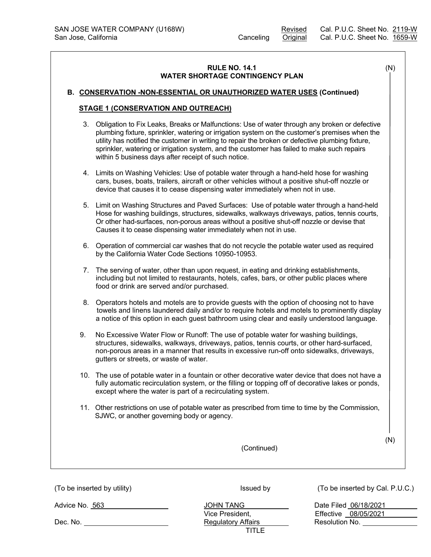# **RULE NO. 14.1** (N) **WATER SHORTAGE CONTINGENCY PLAN**

#### **B. CONSERVATION -NON-ESSENTIAL OR UNAUTHORIZED WATER USES (Continued)**

#### **STAGE 1 (CONSERVATION AND OUTREACH)**

- 3. Obligation to Fix Leaks, Breaks or Malfunctions: Use of water through any broken or defective plumbing fixture, sprinkler, watering or irrigation system on the customer's premises when the utility has notified the customer in writing to repair the broken or defective plumbing fixture, sprinkler, watering or irrigation system, and the customer has failed to make such repairs within 5 business days after receipt of such notice.
- 4. Limits on Washing Vehicles: Use of potable water through a hand-held hose for washing cars, buses, boats, trailers, aircraft or other vehicles without a positive shut-off nozzle or device that causes it to cease dispensing water immediately when not in use.
- 5. Limit on Washing Structures and Paved Surfaces: Use of potable water through a hand-held Hose for washing buildings, structures, sidewalks, walkways driveways, patios, tennis courts, Or other had-surfaces, non-porous areas without a positive shut-off nozzle or devise that Causes it to cease dispensing water immediately when not in use.
- 6. Operation of commercial car washes that do not recycle the potable water used as required by the California Water Code Sections 10950-10953.
- 7. The serving of water, other than upon request, in eating and drinking establishments, including but not limited to restaurants, hotels, cafes, bars, or other public places where food or drink are served and/or purchased.
- 8. Operators hotels and motels are to provide guests with the option of choosing not to have towels and linens laundered daily and/or to require hotels and motels to prominently display a notice of this option in each guest bathroom using clear and easily understood language.
- 9. No Excessive Water Flow or Runoff: The use of potable water for washing buildings, structures, sidewalks, walkways, driveways, patios, tennis courts, or other hard-surfaced, non-porous areas in a manner that results in excessive run-off onto sidewalks, driveways, gutters or streets, or waste of water.
- 10. The use of potable water in a fountain or other decorative water device that does not have a fully automatic recirculation system, or the filling or topping off of decorative lakes or ponds, except where the water is part of a recirculating system.
- 11. Other restrictions on use of potable water as prescribed from time to time by the Commission, SJWC, or another governing body or agency.

(N)

|                             | (Continued)                         |                                               |
|-----------------------------|-------------------------------------|-----------------------------------------------|
| (To be inserted by utility) | Issued by                           | (To be inserted by Cal. P.U.C.)               |
| Advice No. 563              | <b>JOHN TANG</b><br>Vice President, | Date Filed 06/18/2021<br>Effective 08/05/2021 |
| Dec. No.                    | <b>Regulatory Affairs</b><br>TITLE  | Resolution No.                                |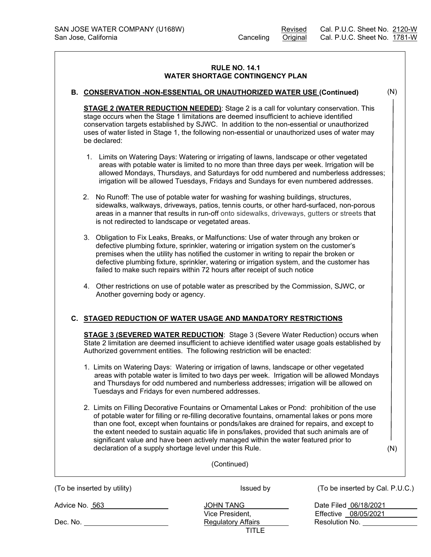## **RULE NO. 14.1 WATER SHORTAGE CONTINGENCY PLAN**

#### **B. CONSERVATION -NON-ESSENTIAL OR UNAUTHORIZED WATER USE (Continued)**

**STAGE 2 (WATER REDUCTION NEEDED)**: Stage 2 is a call for voluntary conservation. This stage occurs when the Stage 1 limitations are deemed insufficient to achieve identified conservation targets established by SJWC. In addition to the non-essential or unauthorized uses of water listed in Stage 1, the following non-essential or unauthorized uses of water may be declared:

- 1. Limits on Watering Days: Watering or irrigating of lawns, landscape or other vegetated areas with potable water is limited to no more than three days per week. Irrigation will be allowed Mondays, Thursdays, and Saturdays for odd numbered and numberless addresses; irrigation will be allowed Tuesdays, Fridays and Sundays for even numbered addresses.
- 2. No Runoff: The use of potable water for washing for washing buildings, structures, sidewalks, walkways, driveways, patios, tennis courts, or other hard-surfaced, non-porous areas in a manner that results in run-off onto sidewalks, driveways, gutters or streets that is not redirected to landscape or vegetated areas.
- 3. Obligation to Fix Leaks, Breaks, or Malfunctions: Use of water through any broken or defective plumbing fixture, sprinkler, watering or irrigation system on the customer's premises when the utility has notified the customer in writing to repair the broken or defective plumbing fixture, sprinkler, watering or irrigation system, and the customer has failed to make such repairs within 72 hours after receipt of such notice
- 4. Other restrictions on use of potable water as prescribed by the Commission, SJWC, or Another governing body or agency.

# **C. STAGED REDUCTION OF WATER USAGE AND MANDATORY RESTRICTIONS**

**STAGE 3 (SEVERED WATER REDUCTION**: Stage 3 (Severe Water Reduction) occurs when State 2 limitation are deemed insufficient to achieve identified water usage goals established by Authorized government entities. The following restriction will be enacted:

- 1. Limits on Watering Days: Watering or irrigation of lawns, landscape or other vegetated areas with potable water is limited to two days per week. Irrigation will be allowed Mondays and Thursdays for odd numbered and numberless addresses; irrigation will be allowed on Tuesdays and Fridays for even numbered addresses.
- 2. Limits on Filling Decorative Fountains or Ornamental Lakes or Pond: prohibition of the use of potable water for filling or re-filling decorative fountains, ornamental lakes or pons more than one foot, except when fountains or ponds/lakes are drained for repairs, and except to the extent needed to sustain aquatic life in pons/lakes, provided that such animals are of significant value and have been actively managed within the water featured prior to declaration of a supply shortage level under this Rule.

(N)

| (Continued)                 |                           |                                 |  |  |
|-----------------------------|---------------------------|---------------------------------|--|--|
| (To be inserted by utility) | Issued by                 | (To be inserted by Cal. P.U.C.) |  |  |
| Advice No. 563              | <b>JOHN TANG</b>          | Date Filed 06/18/2021           |  |  |
|                             | Vice President,           | Effective 08/05/2021            |  |  |
| Dec. No.                    | <b>Regulatory Affairs</b> | Resolution No.                  |  |  |
|                             | TITLE                     |                                 |  |  |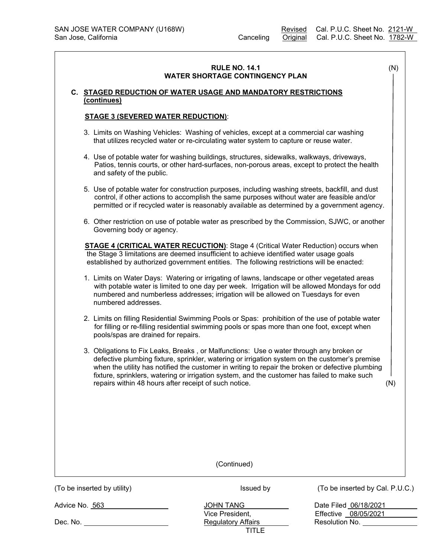|                |                                                                                                                                                                                                                                         | <b>RULE NO. 14.1</b><br><b>WATER SHORTAGE CONTINGENCY PLAN</b>                                                                                                                                                                                                                                                                                                                                                                                         |                                 | (N) |
|----------------|-----------------------------------------------------------------------------------------------------------------------------------------------------------------------------------------------------------------------------------------|--------------------------------------------------------------------------------------------------------------------------------------------------------------------------------------------------------------------------------------------------------------------------------------------------------------------------------------------------------------------------------------------------------------------------------------------------------|---------------------------------|-----|
|                |                                                                                                                                                                                                                                         |                                                                                                                                                                                                                                                                                                                                                                                                                                                        |                                 |     |
|                | (continues)                                                                                                                                                                                                                             | C. STAGED REDUCTION OF WATER USAGE AND MANDATORY RESTRICTIONS                                                                                                                                                                                                                                                                                                                                                                                          |                                 |     |
|                | <b>STAGE 3 (SEVERED WATER REDUCTION):</b>                                                                                                                                                                                               |                                                                                                                                                                                                                                                                                                                                                                                                                                                        |                                 |     |
|                |                                                                                                                                                                                                                                         | 3. Limits on Washing Vehicles: Washing of vehicles, except at a commercial car washing<br>that utilizes recycled water or re-circulating water system to capture or reuse water.                                                                                                                                                                                                                                                                       |                                 |     |
|                | and safety of the public.                                                                                                                                                                                                               | 4. Use of potable water for washing buildings, structures, sidewalks, walkways, driveways,<br>Patios, tennis courts, or other hard-surfaces, non-porous areas, except to protect the health                                                                                                                                                                                                                                                            |                                 |     |
|                |                                                                                                                                                                                                                                         | 5. Use of potable water for construction purposes, including washing streets, backfill, and dust<br>control, if other actions to accomplish the same purposes without water are feasible and/or<br>permitted or if recycled water is reasonably available as determined by a government agency.                                                                                                                                                        |                                 |     |
|                | Governing body or agency.                                                                                                                                                                                                               | 6. Other restriction on use of potable water as prescribed by the Commission, SJWC, or another                                                                                                                                                                                                                                                                                                                                                         |                                 |     |
|                |                                                                                                                                                                                                                                         | STAGE 4 (CRITICAL WATER RECUCTION): Stage 4 (Critical Water Reduction) occurs when<br>the Stage 3 limitations are deemed insufficient to achieve identified water usage goals<br>established by authorized government entities. The following restrictions will be enacted:                                                                                                                                                                            |                                 |     |
|                | numbered addresses.                                                                                                                                                                                                                     | 1. Limits on Water Days: Watering or irrigating of lawns, landscape or other vegetated areas<br>with potable water is limited to one day per week. Irrigation will be allowed Mondays for odd<br>numbered and numberless addresses; irrigation will be allowed on Tuesdays for even                                                                                                                                                                    |                                 |     |
|                | 2. Limits on filling Residential Swimming Pools or Spas: prohibition of the use of potable water<br>for filling or re-filling residential swimming pools or spas more than one foot, except when<br>pools/spas are drained for repairs. |                                                                                                                                                                                                                                                                                                                                                                                                                                                        |                                 |     |
|                |                                                                                                                                                                                                                                         | 3. Obligations to Fix Leaks, Breaks, or Malfunctions: Use o water through any broken or<br>defective plumbing fixture, sprinkler, watering or irrigation system on the customer's premise<br>when the utility has notified the customer in writing to repair the broken or defective plumbing<br>fixture, sprinklers, watering or irrigation system, and the customer has failed to make such<br>repairs within 48 hours after receipt of such notice. |                                 | (N) |
|                |                                                                                                                                                                                                                                         |                                                                                                                                                                                                                                                                                                                                                                                                                                                        |                                 |     |
|                |                                                                                                                                                                                                                                         | (Continued)                                                                                                                                                                                                                                                                                                                                                                                                                                            |                                 |     |
|                | (To be inserted by utility)                                                                                                                                                                                                             | Issued by                                                                                                                                                                                                                                                                                                                                                                                                                                              | (To be inserted by Cal. P.U.C.) |     |
| Advice No. 563 |                                                                                                                                                                                                                                         | <b>JOHN TANG</b>                                                                                                                                                                                                                                                                                                                                                                                                                                       | Date Filed 06/18/2021           |     |
|                |                                                                                                                                                                                                                                         | Vice President,                                                                                                                                                                                                                                                                                                                                                                                                                                        | Effective 08/05/2021            |     |
|                | Dec. No. The contract of the contract of the contract of the contract of the contract of the contract of the contract of the contract of the contract of the contract of the contract of the contract of the contract of the c          | <b>Regulatory Affairs</b><br><b>TITLE</b>                                                                                                                                                                                                                                                                                                                                                                                                              | Resolution No.                  |     |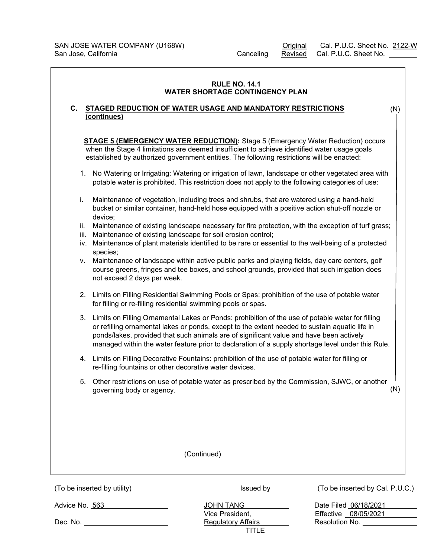$\equiv$  $\overline{\phantom{a}}$ 

|                                                                                                                                                                                                                                                                                                                                                                                                          | <b>RULE NO. 14.1</b><br><b>WATER SHORTAGE CONTINGENCY PLAN</b>                                                                                                                                                                                                                       |                                 |  |
|----------------------------------------------------------------------------------------------------------------------------------------------------------------------------------------------------------------------------------------------------------------------------------------------------------------------------------------------------------------------------------------------------------|--------------------------------------------------------------------------------------------------------------------------------------------------------------------------------------------------------------------------------------------------------------------------------------|---------------------------------|--|
| C.<br>(continues)                                                                                                                                                                                                                                                                                                                                                                                        | <b>STAGED REDUCTION OF WATER USAGE AND MANDATORY RESTRICTIONS</b>                                                                                                                                                                                                                    | (N)                             |  |
|                                                                                                                                                                                                                                                                                                                                                                                                          | <b>STAGE 5 (EMERGENCY WATER REDUCTION):</b> Stage 5 (Emergency Water Reduction) occurs<br>when the Stage 4 limitations are deemed insufficient to achieve identified water usage goals<br>established by authorized government entities. The following restrictions will be enacted: |                                 |  |
| 1.                                                                                                                                                                                                                                                                                                                                                                                                       | No Watering or Irrigating: Watering or irrigation of lawn, landscape or other vegetated area with<br>potable water is prohibited. This restriction does not apply to the following categories of use:                                                                                |                                 |  |
| i.<br>device;                                                                                                                                                                                                                                                                                                                                                                                            | Maintenance of vegetation, including trees and shrubs, that are watered using a hand-held<br>bucket or similar container, hand-held hose equipped with a positive action shut-off nozzle or                                                                                          |                                 |  |
| ii.<br>iii.<br>iv.<br>species;                                                                                                                                                                                                                                                                                                                                                                           | Maintenance of existing landscape necessary for fire protection, with the exception of turf grass;<br>Maintenance of existing landscape for soil erosion control;<br>Maintenance of plant materials identified to be rare or essential to the well-being of a protected              |                                 |  |
| ۷.<br>not exceed 2 days per week.                                                                                                                                                                                                                                                                                                                                                                        | Maintenance of landscape within active public parks and playing fields, day care centers, golf<br>course greens, fringes and tee boxes, and school grounds, provided that such irrigation does                                                                                       |                                 |  |
|                                                                                                                                                                                                                                                                                                                                                                                                          | 2. Limits on Filling Residential Swimming Pools or Spas: prohibition of the use of potable water<br>for filling or re-filling residential swimming pools or spas.                                                                                                                    |                                 |  |
| Limits on Filling Ornamental Lakes or Ponds: prohibition of the use of potable water for filling<br>3.<br>or refilling ornamental lakes or ponds, except to the extent needed to sustain aquatic life in<br>ponds/lakes, provided that such animals are of significant value and have been actively<br>managed within the water feature prior to declaration of a supply shortage level under this Rule. |                                                                                                                                                                                                                                                                                      |                                 |  |
| 4.                                                                                                                                                                                                                                                                                                                                                                                                       | Limits on Filling Decorative Fountains: prohibition of the use of potable water for filling or<br>re-filling fountains or other decorative water devices.                                                                                                                            |                                 |  |
| 5.<br>governing body or agency.                                                                                                                                                                                                                                                                                                                                                                          | Other restrictions on use of potable water as prescribed by the Commission, SJWC, or another                                                                                                                                                                                         | (N)                             |  |
|                                                                                                                                                                                                                                                                                                                                                                                                          |                                                                                                                                                                                                                                                                                      |                                 |  |
|                                                                                                                                                                                                                                                                                                                                                                                                          | (Continued)                                                                                                                                                                                                                                                                          |                                 |  |
| (To be inserted by utility)                                                                                                                                                                                                                                                                                                                                                                              | Issued by                                                                                                                                                                                                                                                                            | (To be inserted by Cal. P.U.C.) |  |
| Advice No. 563<br>Dec. No. _________________________                                                                                                                                                                                                                                                                                                                                                     | Date Filed 06/18/2021<br><b>JOHN TANG</b><br>Vice President,<br>Effective 08/05/2021<br>Resolution No. _____<br><b>Regulatory Affairs</b>                                                                                                                                            |                                 |  |
|                                                                                                                                                                                                                                                                                                                                                                                                          | <b>TITLE</b>                                                                                                                                                                                                                                                                         |                                 |  |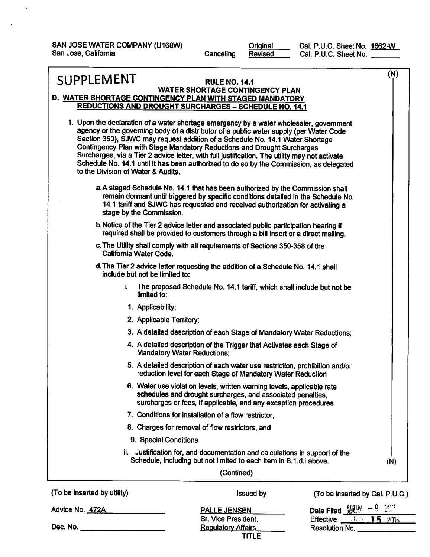SAN JOSE WATER COMPANY (U168W) San Jose, California

 $\ddot{\phantom{0}}$ 

Original Canceling **Revised**  Cal. P.U.C. Sheet No. 1662-W Cal. P.U.C. Sheet No.

| SUPPLEMENT                                                                                                               | <b>RULE NO. 14.1</b>                                                                                                                                                                                                                                                                                                                                                                                                                                                                                                                      | (N) |
|--------------------------------------------------------------------------------------------------------------------------|-------------------------------------------------------------------------------------------------------------------------------------------------------------------------------------------------------------------------------------------------------------------------------------------------------------------------------------------------------------------------------------------------------------------------------------------------------------------------------------------------------------------------------------------|-----|
| D. WATER SHORTAGE CONTINGENCY PLAN WITH STAGED MANDATORY<br><b>REDUCTIONS AND DROUGHT SURCHARGES - SCHEDULE NO. 14.1</b> | <b>WATER SHORTAGE CONTINGENCY PLAN</b>                                                                                                                                                                                                                                                                                                                                                                                                                                                                                                    |     |
| to the Division of Water & Audits.                                                                                       | 1. Upon the declaration of a water shortage emergency by a water wholesaler, government<br>agency or the governing body of a distributor of a public water supply (per Water Code<br>Section 350), SJWC may request addition of a Schedule No. 14.1 Water Shortage<br>Contingency Plan with Stage Mandatory Reductions and Drought Surcharges<br>Surcharges, via a Tier 2 advice letter, with full justification. The utility may not activate<br>Schedule No. 14.1 until it has been authorized to do so by the Commission, as delegated |     |
| stage by the Commission.                                                                                                 | a. A staged Schedule No. 14.1 that has been authorized by the Commission shall<br>remain dormant until triggered by specific conditions detailed in the Schedule No.<br>14.1 tariff and SJWC has requested and received authorization for activating a                                                                                                                                                                                                                                                                                    |     |
|                                                                                                                          | b. Notice of the Tier 2 advice letter and associated public participation hearing if<br>required shall be provided to customers through a bill insert or a direct mailing.                                                                                                                                                                                                                                                                                                                                                                |     |
| California Water Code.                                                                                                   | c. The Utility shall comply with all requirements of Sections 350-358 of the                                                                                                                                                                                                                                                                                                                                                                                                                                                              |     |
| include but not be limited to:                                                                                           | d. The Tier 2 advice letter requesting the addition of a Schedule No. 14.1 shall                                                                                                                                                                                                                                                                                                                                                                                                                                                          |     |
| i.<br>limited to:                                                                                                        | The proposed Schedule No. 14.1 tariff, which shall include but not be                                                                                                                                                                                                                                                                                                                                                                                                                                                                     |     |
| 1. Applicability;                                                                                                        |                                                                                                                                                                                                                                                                                                                                                                                                                                                                                                                                           |     |
| 2. Applicable Territory;                                                                                                 |                                                                                                                                                                                                                                                                                                                                                                                                                                                                                                                                           |     |
|                                                                                                                          | 3. A detailed description of each Stage of Mandatory Water Reductions;                                                                                                                                                                                                                                                                                                                                                                                                                                                                    |     |
| <b>Mandatory Water Reductions:</b>                                                                                       | 4. A detailed description of the Trigger that Activates each Stage of                                                                                                                                                                                                                                                                                                                                                                                                                                                                     |     |
|                                                                                                                          | 5. A detailed description of each water use restriction, prohibition and/or<br>reduction level for each Stage of Mandatory Water Reduction                                                                                                                                                                                                                                                                                                                                                                                                |     |
|                                                                                                                          | 6. Water use violation levels, written warning levels, applicable rate<br>schedules and drought surcharges, and associated penalties,<br>surcharges or fees, if applicable, and any exception procedures                                                                                                                                                                                                                                                                                                                                  |     |
|                                                                                                                          | 7. Conditions for installation of a flow restrictor,                                                                                                                                                                                                                                                                                                                                                                                                                                                                                      |     |
|                                                                                                                          | 8. Charges for removal of flow restrictors, and                                                                                                                                                                                                                                                                                                                                                                                                                                                                                           |     |
| 9. Special Conditions                                                                                                    |                                                                                                                                                                                                                                                                                                                                                                                                                                                                                                                                           |     |
|                                                                                                                          | ii. Justification for, and documentation and calculations in support of the<br>Schedule, including but not limited to each item in B.1.d.i above.                                                                                                                                                                                                                                                                                                                                                                                         | (N) |
|                                                                                                                          | (Contined)                                                                                                                                                                                                                                                                                                                                                                                                                                                                                                                                |     |
| ذبيبتانين ببط اممضموا مرحم مطلبهم                                                                                        |                                                                                                                                                                                                                                                                                                                                                                                                                                                                                                                                           |     |

(To be inserted by utility) **Issued by** (To be inserted by Cal. P.U.C.) Date Filed  $[III] = 920$ Advice No. 472A **PALLE JENSEN** Sr. Vice President, Effective  $\frac{1.136}{1.5}$   $\frac{1.75}{2015}$ Dec. No. \_\_\_ **Regulatory Affairs** Resolution No. **TITLE**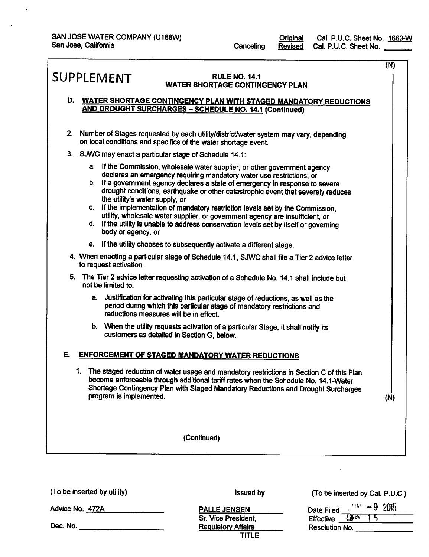$\ddot{\phantom{1}}$ 

 $\ddot{\phantom{a}}$ 

|    |                                                                                                                                                                                                                                                                                                                                                                                                                                                                                                                                                                                                                                             | (N) |
|----|---------------------------------------------------------------------------------------------------------------------------------------------------------------------------------------------------------------------------------------------------------------------------------------------------------------------------------------------------------------------------------------------------------------------------------------------------------------------------------------------------------------------------------------------------------------------------------------------------------------------------------------------|-----|
|    | SUPPLEMENT<br><b>RULE NO. 14.1</b><br><b>WATER SHORTAGE CONTINGENCY PLAN</b>                                                                                                                                                                                                                                                                                                                                                                                                                                                                                                                                                                |     |
|    | D. WATER SHORTAGE CONTINGENCY PLAN WITH STAGED MANDATORY REDUCTIONS<br><b>AND DROUGHT SURCHARGES - SCHEDULE NO. 14.1 (Continued)</b>                                                                                                                                                                                                                                                                                                                                                                                                                                                                                                        |     |
| 2. | Number of Stages requested by each utility/district/water system may vary, depending<br>on local conditions and specifics of the water shortage event.                                                                                                                                                                                                                                                                                                                                                                                                                                                                                      |     |
|    | 3. SJWC may enact a particular stage of Schedule 14.1:                                                                                                                                                                                                                                                                                                                                                                                                                                                                                                                                                                                      |     |
|    | a. If the Commission, wholesale water supplier, or other government agency<br>declares an emergency requiring mandatory water use restrictions, or<br>b. If a government agency declares a state of emergency in response to severe<br>drought conditions, earthquake or other catastrophic event that severely reduces<br>the utility's water supply, or<br>c. If the implementation of mandatory restriction levels set by the Commission,<br>utility, wholesale water supplier, or government agency are insufficient, or<br>d. If the utility is unable to address conservation levels set by itself or governing<br>body or agency, or |     |
|    | e. If the utility chooses to subsequently activate a different stage.                                                                                                                                                                                                                                                                                                                                                                                                                                                                                                                                                                       |     |
|    | 4. When enacting a particular stage of Schedule 14.1, SJWC shall file a Tier 2 advice letter<br>to request activation.                                                                                                                                                                                                                                                                                                                                                                                                                                                                                                                      |     |
|    | 5. The Tier 2 advice letter requesting activation of a Schedule No. 14.1 shall include but<br>not be limited to:                                                                                                                                                                                                                                                                                                                                                                                                                                                                                                                            |     |
|    | Justification for activating this particular stage of reductions, as well as the<br>а.<br>period during which this particular stage of mandatory restrictions and<br>reductions measures will be in effect.                                                                                                                                                                                                                                                                                                                                                                                                                                 |     |
|    | b. When the utility requests activation of a particular Stage, it shall notify its<br>customers as detailed in Section G, below.                                                                                                                                                                                                                                                                                                                                                                                                                                                                                                            |     |
| Е. | <b>ENFORCEMENT OF STAGED MANDATORY WATER REDUCTIONS</b>                                                                                                                                                                                                                                                                                                                                                                                                                                                                                                                                                                                     |     |
|    | 1. The staged reduction of water usage and mandatory restrictions in Section C of this Plan<br>become enforceable through additional tariff rates when the Schedule No. 14.1-Water<br>Shortage Contingency Plan with Staged Mandatory Reductions and Drought Surcharges<br>program is implemented.                                                                                                                                                                                                                                                                                                                                          | (N) |
|    | (Continued)                                                                                                                                                                                                                                                                                                                                                                                                                                                                                                                                                                                                                                 |     |
|    |                                                                                                                                                                                                                                                                                                                                                                                                                                                                                                                                                                                                                                             |     |

(To be inserted by utility)

Advice No. 472A

**Issued by** 

**PALLE JENSEN** Sr. Vice President, **Regulatory Affairs TITLE**  (To be inserted by Cal. P.U.C.)

| Date Filed            |               | $-9.2015$ |
|-----------------------|---------------|-----------|
| Effective             | <u>Viter.</u> |           |
| <b>Resolution No.</b> |               |           |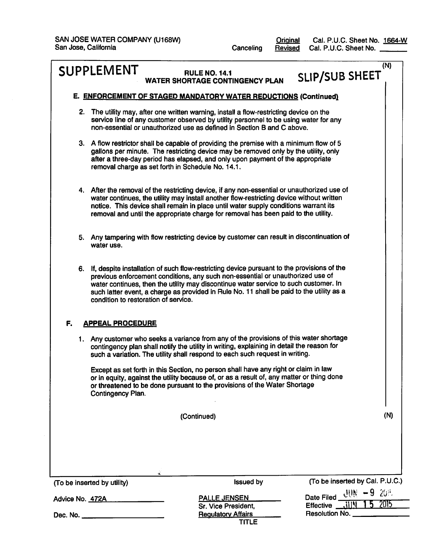**Original**<br>Revised Canceling

Cal. P.U.C. Sheet No. 1664-W<br>Cal. P.U.C. Sheet No.

|                 | <b>SUPPLEMENT</b>                                                                                                                                                                                                                                                                                                                                                                                           | <b>RULE NO. 14.1</b><br><b>WATER SHORTAGE CONTINGENCY PLAN</b>                                                                                                                                                                                                      | (N)<br><b>SLIP/SUB SHEET</b>                                                 |  |  |
|-----------------|-------------------------------------------------------------------------------------------------------------------------------------------------------------------------------------------------------------------------------------------------------------------------------------------------------------------------------------------------------------------------------------------------------------|---------------------------------------------------------------------------------------------------------------------------------------------------------------------------------------------------------------------------------------------------------------------|------------------------------------------------------------------------------|--|--|
|                 |                                                                                                                                                                                                                                                                                                                                                                                                             | E. ENFORCEMENT OF STAGED MANDATORY WATER REDUCTIONS (Continued)                                                                                                                                                                                                     |                                                                              |  |  |
| 2.              |                                                                                                                                                                                                                                                                                                                                                                                                             | The utility may, after one written warning, install a flow-restricting device on the<br>service line of any customer observed by utility personnel to be using water for any<br>non-essential or unauthorized use as defined in Section B and C above.              |                                                                              |  |  |
|                 | 3. A flow restrictor shall be capable of providing the premise with a minimum flow of 5<br>gallons per minute. The restricting device may be removed only by the utility, only<br>after a three-day period has elapsed, and only upon payment of the appropriate<br>removal charge as set forth in Schedule No. 14.1.                                                                                       |                                                                                                                                                                                                                                                                     |                                                                              |  |  |
|                 | 4. After the removal of the restricting device, if any non-essential or unauthorized use of<br>water continues, the utility may install another flow-restricting device without written<br>notice. This device shall remain in place until water supply conditions warrant its<br>removal and until the appropriate charge for removal has been paid to the utility.                                        |                                                                                                                                                                                                                                                                     |                                                                              |  |  |
|                 | water use.                                                                                                                                                                                                                                                                                                                                                                                                  | 5. Any tampering with flow restricting device by customer can result in discontinuation of                                                                                                                                                                          |                                                                              |  |  |
|                 | 6. If, despite installation of such flow-restricting device pursuant to the provisions of the<br>previous enforcement conditions, any such non-essential or unauthorized use of<br>water continues, then the utility may discontinue water service to such customer. In<br>such latter event, a charge as provided in Rule No. 11 shall be paid to the utility as a<br>condition to restoration of service. |                                                                                                                                                                                                                                                                     |                                                                              |  |  |
| F.              | <b>APPEAL PROCEDURE</b>                                                                                                                                                                                                                                                                                                                                                                                     |                                                                                                                                                                                                                                                                     |                                                                              |  |  |
|                 |                                                                                                                                                                                                                                                                                                                                                                                                             | 1. Any customer who seeks a variance from any of the provisions of this water shortage<br>contingency plan shall notify the utility in writing, explaining in detail the reason for<br>such a variation. The utility shall respond to each such request in writing. |                                                                              |  |  |
|                 | Contingency Plan.                                                                                                                                                                                                                                                                                                                                                                                           | Except as set forth in this Section, no person shall have any right or claim in law<br>or in equity, against the utility because of, or as a result of, any matter or thing done<br>or threatened to be done pursuant to the provisions of the Water Shortage       |                                                                              |  |  |
|                 |                                                                                                                                                                                                                                                                                                                                                                                                             | (Continued)                                                                                                                                                                                                                                                         | (N)                                                                          |  |  |
|                 |                                                                                                                                                                                                                                                                                                                                                                                                             |                                                                                                                                                                                                                                                                     |                                                                              |  |  |
|                 |                                                                                                                                                                                                                                                                                                                                                                                                             |                                                                                                                                                                                                                                                                     |                                                                              |  |  |
|                 | (To be inserted by utility)                                                                                                                                                                                                                                                                                                                                                                                 | <b>Issued by</b>                                                                                                                                                                                                                                                    | (To be inserted by Cal. P.U.C.)                                              |  |  |
| Advice No. 472A |                                                                                                                                                                                                                                                                                                                                                                                                             | <b>PALLE JENSEN</b><br>Sr. Vice President,                                                                                                                                                                                                                          | Date Filed $\underline{\mathcal{U}}\mathcal{W} = 9$ 20%<br>2015<br>Effective |  |  |
|                 | Resolution No. ___<br><b>Regulatory Affairs</b><br>Dec. No. ____________________<br><b>TITLE</b>                                                                                                                                                                                                                                                                                                            |                                                                                                                                                                                                                                                                     |                                                                              |  |  |